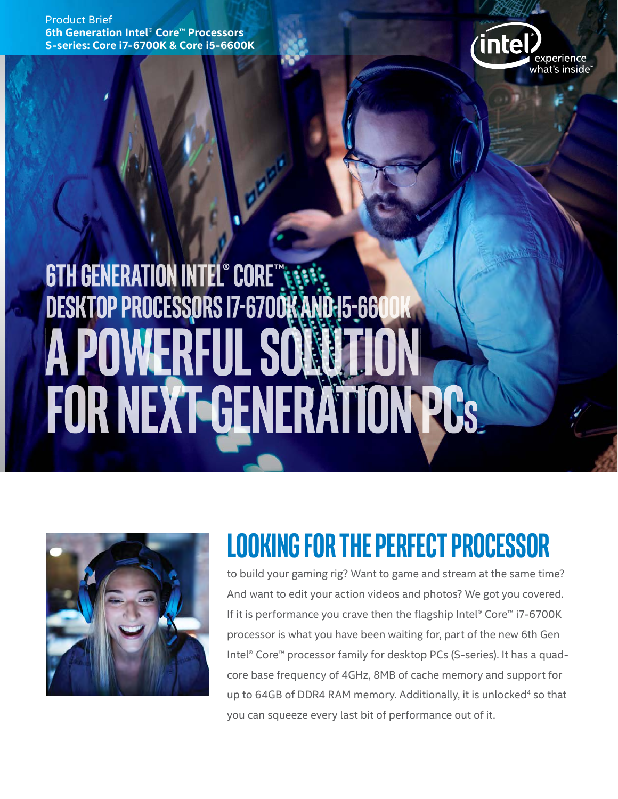Product Brief **6th Generation Intel® Core™ Processors S-series: Core i7-6700K & Core i5-6600K**



# **6TH GENERATION INTEL® CORE TERRISTS**<br>DESKTOP PROCESSORS 17-6700K AND 15-660 **A POWERFUL SO** FOR NEXT-GENERATION PCS



# **LOOKING FOR THE PERFECT PROCESSOR**

to build your gaming rig? Want to game and stream at the same time? And want to edit your action videos and photos? We got you covered. If it is performance you crave then the flagship Intel® Core™ i7-6700K processor is what you have been waiting for, part of the new 6th Gen Intel® Core™ processor family for desktop PCs (S-series). It has a quadcore base frequency of 4GHz, 8MB of cache memory and support for up to 64GB of DDR4 RAM memory. Additionally, it is unlocked<sup>4</sup> so that you can squeeze every last bit of performance out of it.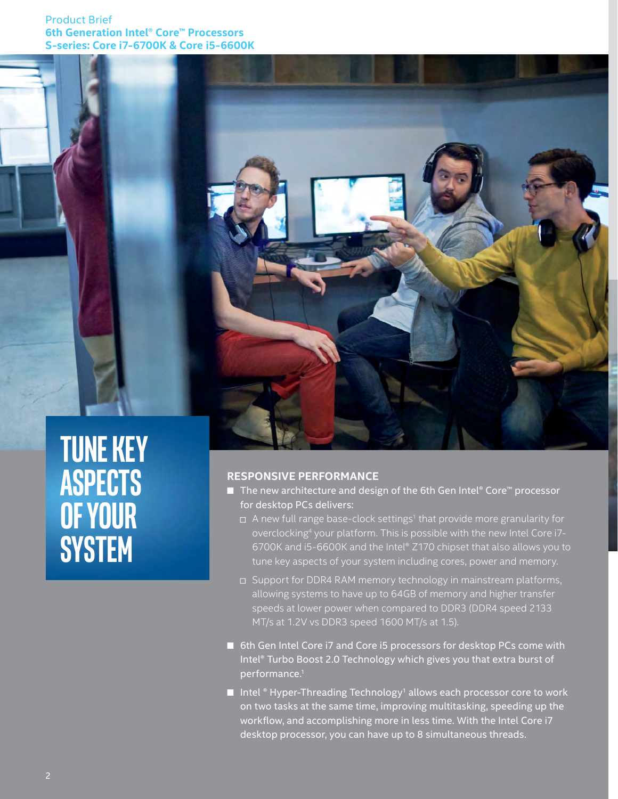### Product Brief **6th Generation Intel® Core™ Processors S-series: Core i7-6700K & Core i5-6600K**





#### **RESPONSIVE PERFORMANCE**

- The new architecture and design of the 6th Gen Intel® Core™ processor for desktop PCs delivers:
	- $\Box$  A new full range base-clock settings<sup>1</sup> that provide more granularity for overclocking<sup>4</sup> your platform. This is possible with the new Intel Core i7-6700K and i5-6600K and the Intel® Z170 chipset that also allows you to tune key aspects of your system including cores, power and memory.
	- □ Support for DDR4 RAM memory technology in mainstream platforms, allowing systems to have up to 64GB of memory and higher transfer speeds at lower power when compared to DDR3 (DDR4 speed 2133 MT/s at 1.2V vs DDR3 speed 1600 MT/s at 1.5).
- 6th Gen Intel Core i7 and Core i5 processors for desktop PCs come with Intel® Turbo Boost 2.0 Technology which gives you that extra burst of performance.1
- $\blacksquare$  Intel  $\degree$  Hyper-Threading Technology<sup>1</sup> allows each processor core to work on two tasks at the same time, improving multitasking, speeding up the workflow, and accomplishing more in less time. With the Intel Core i7 desktop processor, you can have up to 8 simultaneous threads.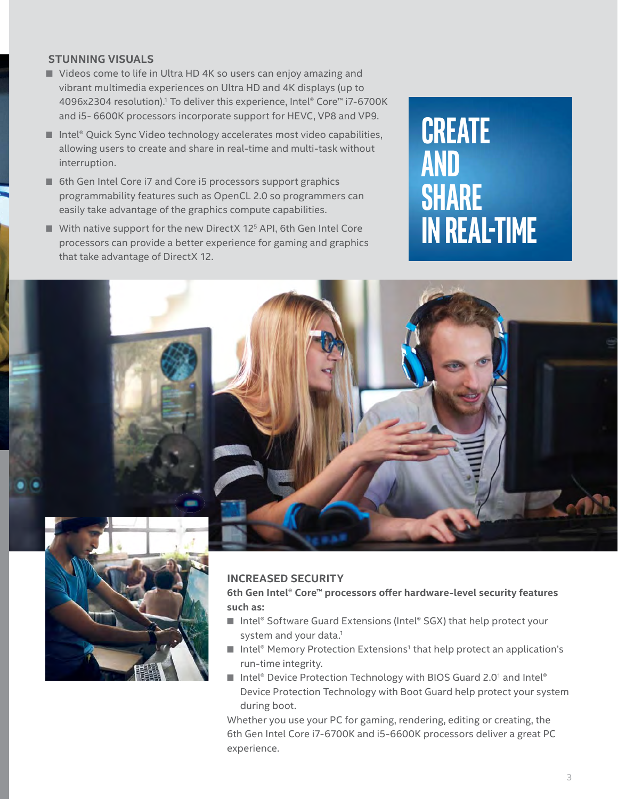### **STUNNING VISUALS**

- Videos come to life in Ultra HD 4K so users can enjoy amazing and vibrant multimedia experiences on Ultra HD and 4K displays (up to 4096x2304 resolution).1 To deliver this experience, Intel® Core™ i7-6700K and i5- 6600K processors incorporate support for HEVC, VP8 and VP9.
- Intel® Quick Sync Video technology accelerates most video capabilities, allowing users to create and share in real-time and multi-task without interruption.
- 6th Gen Intel Core i7 and Core i5 processors support graphics programmability features such as OpenCL 2.0 so programmers can easily take advantage of the graphics compute capabilities.
- With native support for the new DirectX 12<sup>5</sup> API, 6th Gen Intel Core processors can provide a better experience for gaming and graphics that take advantage of DirectX 12.

# **CREATE AND SHARE IN REAL-TIME**



#### **INCREASED SECURITY**

**6th Gen Intel® Core™ processors off er hardware-level security features such as:**

- Intel® Software Guard Extensions (Intel® SGX) that help protect your system and your data.<sup>1</sup>
- Intel® Memory Protection Extensions<sup>1</sup> that help protect an application's run-time integrity.
- Intel® Device Protection Technology with BIOS Guard 2.0<sup>1</sup> and Intel® Device Protection Technology with Boot Guard help protect your system during boot.

Whether you use your PC for gaming, rendering, editing or creating, the 6th Gen Intel Core i7-6700K and i5-6600K processors deliver a great PC experience.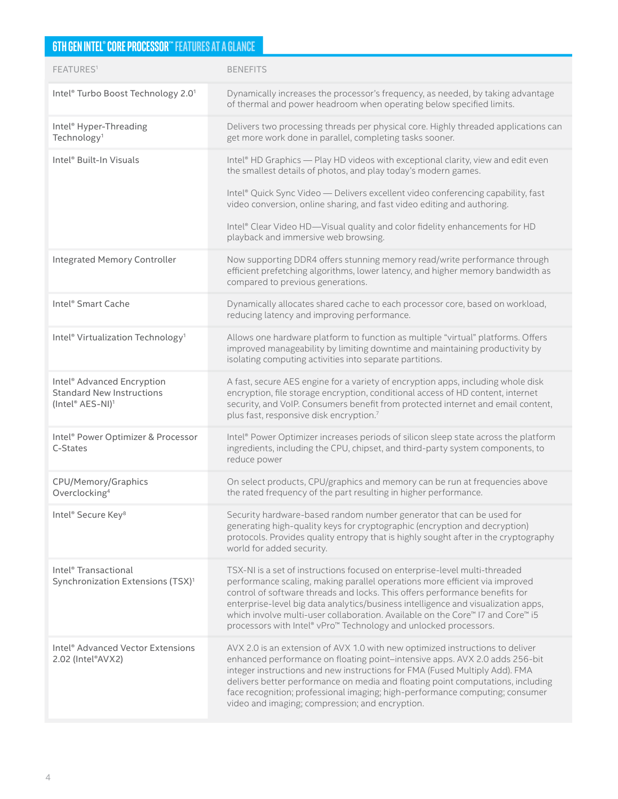## **6TH GEN INTEL® CORE PROCESSOR™ FEATURES AT A GLANCE**

| FEATURES <sup>1</sup>                                                                                      | <b>BENEFITS</b>                                                                                                                                                                                                                                                                                                                                                                                                                                                                     |  |
|------------------------------------------------------------------------------------------------------------|-------------------------------------------------------------------------------------------------------------------------------------------------------------------------------------------------------------------------------------------------------------------------------------------------------------------------------------------------------------------------------------------------------------------------------------------------------------------------------------|--|
| Intel® Turbo Boost Technology 2.01                                                                         | Dynamically increases the processor's frequency, as needed, by taking advantage<br>of thermal and power headroom when operating below specified limits.                                                                                                                                                                                                                                                                                                                             |  |
| Intel <sup>®</sup> Hyper-Threading<br>Technology <sup>1</sup>                                              | Delivers two processing threads per physical core. Highly threaded applications can<br>get more work done in parallel, completing tasks sooner.                                                                                                                                                                                                                                                                                                                                     |  |
| Intel® Built-In Visuals                                                                                    | Intel® HD Graphics - Play HD videos with exceptional clarity, view and edit even<br>the smallest details of photos, and play today's modern games.<br>Intel® Quick Sync Video - Delivers excellent video conferencing capability, fast<br>video conversion, online sharing, and fast video editing and authoring.<br>Intel® Clear Video HD-Visual quality and color fidelity enhancements for HD<br>playback and immersive web browsing.                                            |  |
| <b>Integrated Memory Controller</b>                                                                        | Now supporting DDR4 offers stunning memory read/write performance through<br>efficient prefetching algorithms, lower latency, and higher memory bandwidth as<br>compared to previous generations.                                                                                                                                                                                                                                                                                   |  |
| Intel® Smart Cache                                                                                         | Dynamically allocates shared cache to each processor core, based on workload,<br>reducing latency and improving performance.                                                                                                                                                                                                                                                                                                                                                        |  |
| Intel <sup>®</sup> Virtualization Technology <sup>1</sup>                                                  | Allows one hardware platform to function as multiple "virtual" platforms. Offers<br>improved manageability by limiting downtime and maintaining productivity by<br>isolating computing activities into separate partitions.                                                                                                                                                                                                                                                         |  |
| Intel <sup>®</sup> Advanced Encryption<br><b>Standard New Instructions</b><br>(Intel® AES-NI) <sup>1</sup> | A fast, secure AES engine for a variety of encryption apps, including whole disk<br>encryption, file storage encryption, conditional access of HD content, internet<br>security, and VoIP. Consumers benefit from protected internet and email content,<br>plus fast, responsive disk encryption.7                                                                                                                                                                                  |  |
| Intel® Power Optimizer & Processor<br>C-States                                                             | Intel® Power Optimizer increases periods of silicon sleep state across the platform<br>ingredients, including the CPU, chipset, and third-party system components, to<br>reduce power                                                                                                                                                                                                                                                                                               |  |
| CPU/Memory/Graphics<br>Overclocking <sup>4</sup>                                                           | On select products, CPU/graphics and memory can be run at frequencies above<br>the rated frequency of the part resulting in higher performance.                                                                                                                                                                                                                                                                                                                                     |  |
| Intel <sup>®</sup> Secure Key <sup>8</sup>                                                                 | Security hardware-based random number generator that can be used for<br>generating high-quality keys for cryptographic (encryption and decryption)<br>protocols. Provides quality entropy that is highly sought after in the cryptography<br>world for added security.                                                                                                                                                                                                              |  |
| Intel <sup>®</sup> Transactional<br>Synchronization Extensions (TSX) <sup>1</sup>                          | TSX-NI is a set of instructions focused on enterprise-level multi-threaded<br>performance scaling, making parallel operations more efficient via improved<br>control of software threads and locks. This offers performance benefits for<br>enterprise-level big data analytics/business intelligence and visualization apps,<br>which involve multi-user collaboration. Available on the Core™ I7 and Core™ i5<br>processors with Intel® vPro™ Technology and unlocked processors. |  |
| Intel <sup>®</sup> Advanced Vector Extensions<br>2.02 (Intel®AVX2)                                         | AVX 2.0 is an extension of AVX 1.0 with new optimized instructions to deliver<br>enhanced performance on floating point-intensive apps. AVX 2.0 adds 256-bit<br>integer instructions and new instructions for FMA (Fused Multiply Add). FMA<br>delivers better performance on media and floating point computations, including<br>face recognition; professional imaging; high-performance computing; consumer<br>video and imaging; compression; and encryption.                   |  |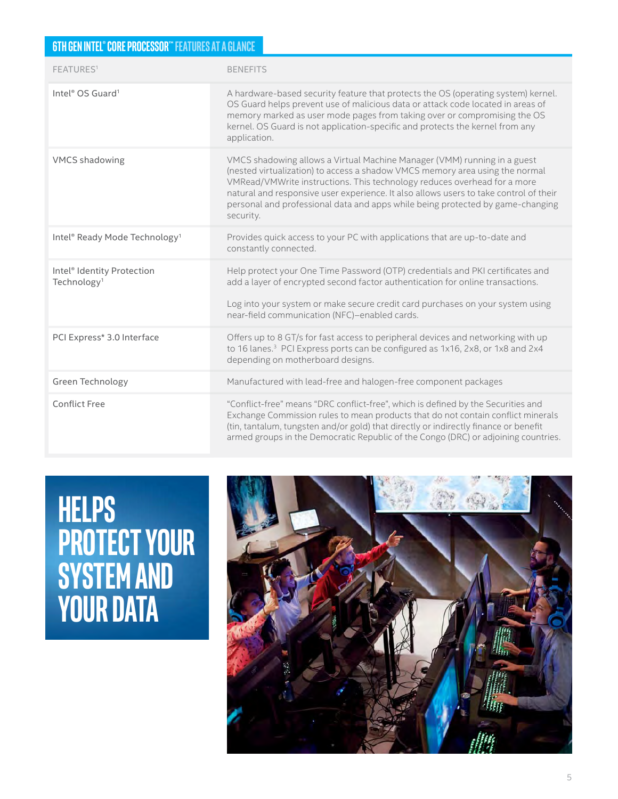### **6TH GEN INTEL® CORE PROCESSOR™ FEATURES AT A GLANCE**

| FEATURES <sup>1</sup>                                             | <b>BENEFITS</b>                                                                                                                                                                                                                                                                                                                                                                                                              |  |
|-------------------------------------------------------------------|------------------------------------------------------------------------------------------------------------------------------------------------------------------------------------------------------------------------------------------------------------------------------------------------------------------------------------------------------------------------------------------------------------------------------|--|
| Intel <sup>®</sup> OS Guard <sup>1</sup>                          | A hardware-based security feature that protects the OS (operating system) kernel.<br>OS Guard helps prevent use of malicious data or attack code located in areas of<br>memory marked as user mode pages from taking over or compromising the OS<br>kernel. OS Guard is not application-specific and protects the kernel from any<br>application.                                                                            |  |
| <b>VMCS</b> shadowing                                             | VMCS shadowing allows a Virtual Machine Manager (VMM) running in a guest<br>(nested virtualization) to access a shadow VMCS memory area using the normal<br>VMRead/VMWrite instructions. This technology reduces overhead for a more<br>natural and responsive user experience. It also allows users to take control of their<br>personal and professional data and apps while being protected by game-changing<br>security. |  |
| Intel® Ready Mode Technology <sup>1</sup>                         | Provides quick access to your PC with applications that are up-to-date and<br>constantly connected.                                                                                                                                                                                                                                                                                                                          |  |
| Intel <sup>®</sup> Identity Protection<br>Technology <sup>1</sup> | Help protect your One Time Password (OTP) credentials and PKI certificates and<br>add a layer of encrypted second factor authentication for online transactions.<br>Log into your system or make secure credit card purchases on your system using<br>near-field communication (NFC)-enabled cards.                                                                                                                          |  |
| PCI Express* 3.0 Interface                                        | Offers up to 8 GT/s for fast access to peripheral devices and networking with up<br>to 16 lanes. <sup>3</sup> PCI Express ports can be configured as 1x16, 2x8, or 1x8 and 2x4<br>depending on motherboard designs.                                                                                                                                                                                                          |  |
| Green Technology                                                  | Manufactured with lead-free and halogen-free component packages                                                                                                                                                                                                                                                                                                                                                              |  |
| <b>Conflict Free</b>                                              | "Conflict-free" means "DRC conflict-free", which is defined by the Securities and<br>Exchange Commission rules to mean products that do not contain conflict minerals<br>(tin, tantalum, tungsten and/or gold) that directly or indirectly finance or benefit<br>armed groups in the Democratic Republic of the Congo (DRC) or adjoining countries.                                                                          |  |

**HELPS PROTECT YOUR SYSTEM AND YOUR DATA**

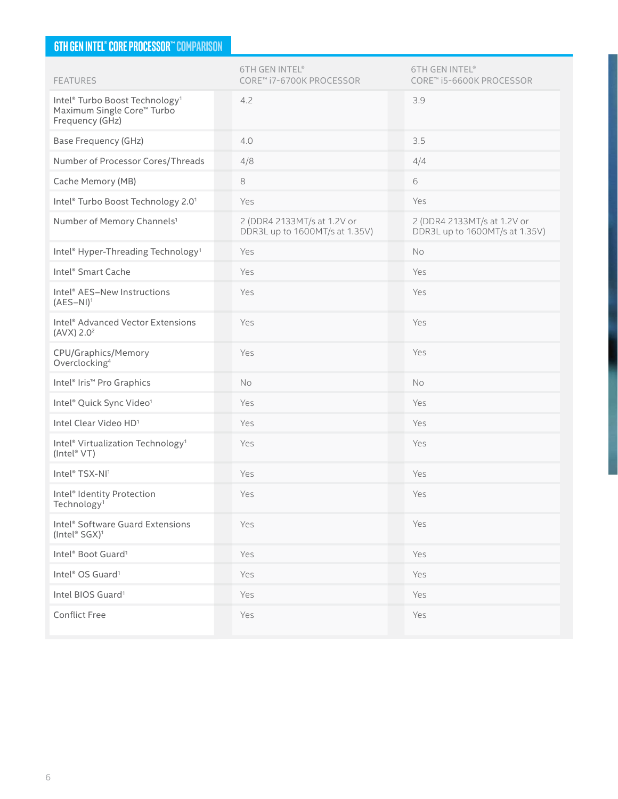### **6TH GEN INTEL® CORE PROCESSOR™ COMPARISON**

| <b>FEATURES</b>                                                                             | <b>6TH GEN INTEL®</b><br>CORE™ i7-6700K PROCESSOR             | <b>6TH GEN INTEL®</b><br>CORE™ i5-6600K PROCESSOR             |
|---------------------------------------------------------------------------------------------|---------------------------------------------------------------|---------------------------------------------------------------|
| Intel® Turbo Boost Technology <sup>1</sup><br>Maximum Single Core™ Turbo<br>Frequency (GHz) | 4.2                                                           | 3.9                                                           |
| <b>Base Frequency (GHz)</b>                                                                 | 4.0                                                           | 3.5                                                           |
| Number of Processor Cores/Threads                                                           | 4/8                                                           | 4/4                                                           |
| Cache Memory (MB)                                                                           | 8                                                             | 6                                                             |
| Intel® Turbo Boost Technology 2.01                                                          | Yes                                                           | Yes                                                           |
| Number of Memory Channels <sup>1</sup>                                                      | 2 (DDR4 2133MT/s at 1.2V or<br>DDR3L up to 1600MT/s at 1.35V) | 2 (DDR4 2133MT/s at 1.2V or<br>DDR3L up to 1600MT/s at 1.35V) |
| Intel <sup>®</sup> Hyper-Threading Technology <sup>1</sup>                                  | Yes                                                           | No                                                            |
| Intel <sup>®</sup> Smart Cache                                                              | Yes                                                           | Yes                                                           |
| Intel® AES-New Instructions<br>$(AES-NI)^1$                                                 | Yes                                                           | Yes                                                           |
| Intel <sup>®</sup> Advanced Vector Extensions<br>(AVX) 2.0 <sup>2</sup>                     | Yes                                                           | Yes                                                           |
| CPU/Graphics/Memory<br>Overclocking <sup>4</sup>                                            | Yes                                                           | Yes                                                           |
| Intel <sup>®</sup> Iris <sup>™</sup> Pro Graphics                                           | No                                                            | No                                                            |
| Intel® Quick Sync Video <sup>1</sup>                                                        | Yes                                                           | Yes                                                           |
| Intel Clear Video HD <sup>1</sup>                                                           | Yes                                                           | Yes                                                           |
| Intel® Virtualization Technology <sup>1</sup><br>(Intel® VT)                                | Yes                                                           | Yes                                                           |
| Intel® TSX-NI1                                                                              | Yes                                                           | Yes                                                           |
| Intel <sup>®</sup> Identity Protection<br>Technology <sup>1</sup>                           | Yes                                                           | Yes                                                           |
| Intel® Software Guard Extensions<br>(Intel® SGX) <sup>1</sup>                               | Yes                                                           | Yes                                                           |
| Intel® Boot Guard <sup>1</sup>                                                              | Yes                                                           | Yes                                                           |
| Intel® OS Guard <sup>1</sup>                                                                | Yes                                                           | Yes                                                           |
| Intel BIOS Guard <sup>1</sup>                                                               | Yes                                                           | Yes                                                           |
| <b>Conflict Free</b>                                                                        | Yes                                                           | Yes                                                           |